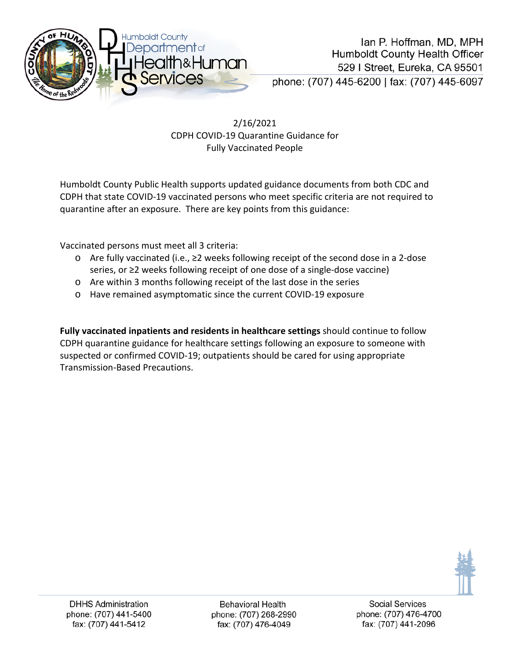

2/16/2021 CDPH COVID-19 Quarantine Guidance for Fully Vaccinated People

Humboldt County Public Health supports updated guidance documents from both CDC and CDPH that state COVID-19 vaccinated persons who meet specific criteria are not required to quarantine after an exposure. There are key points from this guidance:

Vaccinated persons must meet all 3 criteria:

- o Are fully vaccinated (i.e., ≥2 weeks following receipt of the second dose in a 2-dose series, or ≥2 weeks following receipt of one dose of a single-dose vaccine)
- o Are within 3 months following receipt of the last dose in the series
- o Have remained asymptomatic since the current COVID-19 exposure

**Fully vaccinated inpatients and residents in healthcare settings** should continue to follow CDPH quarantine guidance for healthcare settings following an exposure to someone with suspected or confirmed COVID-19; outpatients should be cared for using appropriate Transmission-Based Precautions.



**Behavioral Health** phone: (707) 268-2990 fax: (707) 476-4049